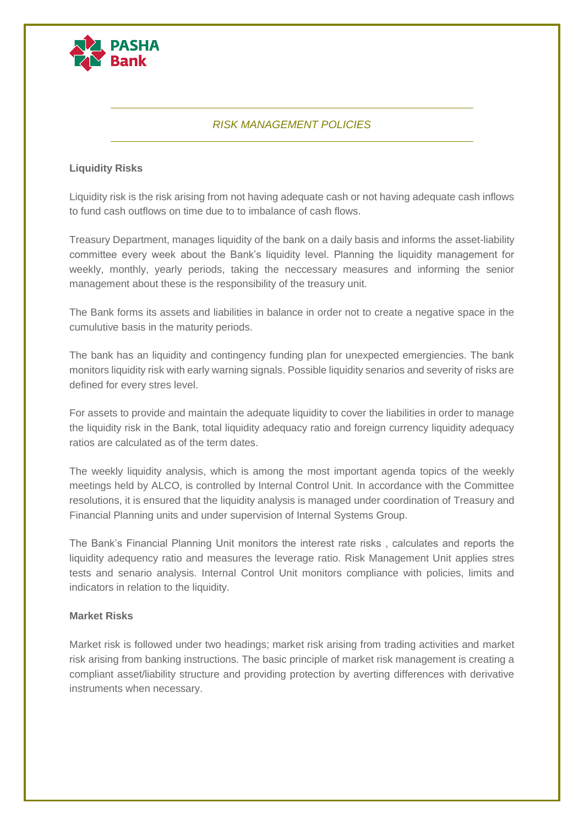

# *RISK MANAGEMENT POLICIES*

# **Liquidity Risks**

Liquidity risk is the risk arising from not having adequate cash or not having adequate cash inflows to fund cash outflows on time due to to imbalance of cash flows.

Treasury Department, manages liquidity of the bank on a daily basis and informs the asset-liability committee every week about the Bank's liquidity level. Planning the liquidity management for weekly, monthly, yearly periods, taking the neccessary measures and informing the senior management about these is the responsibility of the treasury unit.

The Bank forms its assets and liabilities in balance in order not to create a negative space in the cumulutive basis in the maturity periods.

The bank has an liquidity and contingency funding plan for unexpected emergiencies. The bank monitors liquidity risk with early warning signals. Possible liquidity senarios and severity of risks are defined for every stres level.

For assets to provide and maintain the adequate liquidity to cover the liabilities in order to manage the liquidity risk in the Bank, total liquidity adequacy ratio and foreign currency liquidity adequacy ratios are calculated as of the term dates.

The weekly liquidity analysis, which is among the most important agenda topics of the weekly meetings held by ALCO, is controlled by Internal Control Unit. In accordance with the Committee resolutions, it is ensured that the liquidity analysis is managed under coordination of Treasury and Financial Planning units and under supervision of Internal Systems Group.

The Bank's Financial Planning Unit monitors the interest rate risks , calculates and reports the liquidity adequency ratio and measures the leverage ratio. Risk Management Unit applies stres tests and senario analysis. Internal Control Unit monitors compliance with policies, limits and indicators in relation to the liquidity.

#### **Market Risks**

Market risk is followed under two headings; market risk arising from trading activities and market risk arising from banking instructions. The basic principle of market risk management is creating a compliant asset/liability structure and providing protection by averting differences with derivative instruments when necessary.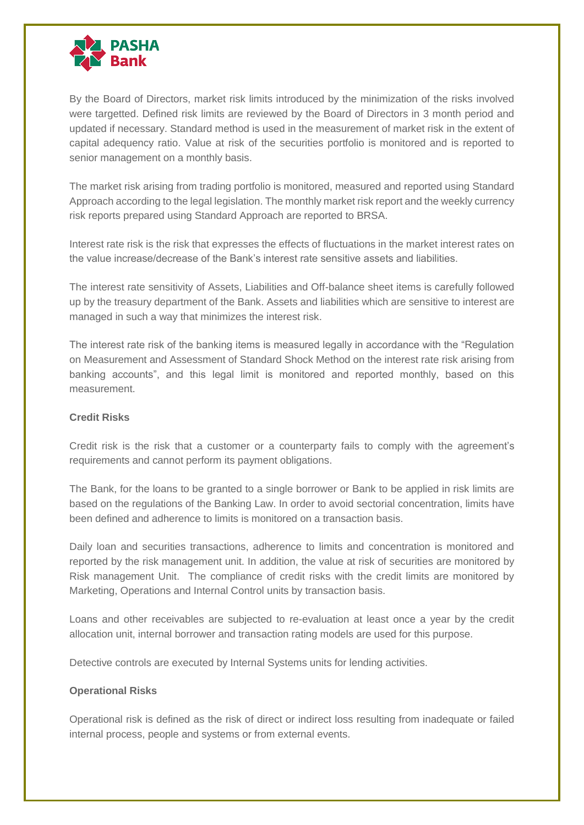

By the Board of Directors, market risk limits introduced by the minimization of the risks involved were targetted. Defined risk limits are reviewed by the Board of Directors in 3 month period and updated if necessary. Standard method is used in the measurement of market risk in the extent of capital adequency ratio. Value at risk of the securities portfolio is monitored and is reported to senior management on a monthly basis.

The market risk arising from trading portfolio is monitored, measured and reported using Standard Approach according to the legal legislation. The monthly market risk report and the weekly currency risk reports prepared using Standard Approach are reported to BRSA.

Interest rate risk is the risk that expresses the effects of fluctuations in the market interest rates on the value increase/decrease of the Bank's interest rate sensitive assets and liabilities.

The interest rate sensitivity of Assets, Liabilities and Off-balance sheet items is carefully followed up by the treasury department of the Bank. Assets and liabilities which are sensitive to interest are managed in such a way that minimizes the interest risk.

The interest rate risk of the banking items is measured legally in accordance with the "Regulation on Measurement and Assessment of Standard Shock Method on the interest rate risk arising from banking accounts", and this legal limit is monitored and reported monthly, based on this measurement.

## **Credit Risks**

Credit risk is the risk that a customer or a counterparty fails to comply with the agreement's requirements and cannot perform its payment obligations.

The Bank, for the loans to be granted to a single borrower or Bank to be applied in risk limits are based on the regulations of the Banking Law. In order to avoid sectorial concentration, limits have been defined and adherence to limits is monitored on a transaction basis.

Daily loan and securities transactions, adherence to limits and concentration is monitored and reported by the risk management unit. In addition, the value at risk of securities are monitored by Risk management Unit. The compliance of credit risks with the credit limits are monitored by Marketing, Operations and Internal Control units by transaction basis.

Loans and other receivables are subjected to re-evaluation at least once a year by the credit allocation unit, internal borrower and transaction rating models are used for this purpose.

Detective controls are executed by Internal Systems units for lending activities.

#### **Operational Risks**

Operational risk is defined as the risk of direct or indirect loss resulting from inadequate or failed internal process, people and systems or from external events.